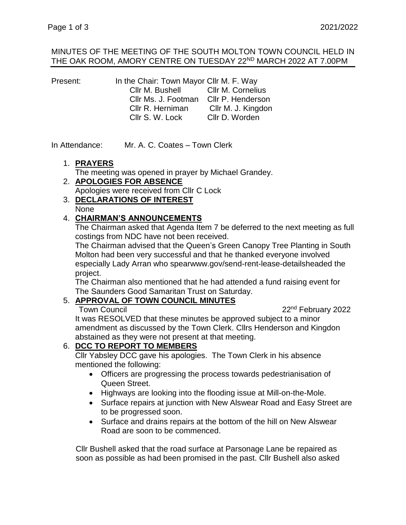#### MINUTES OF THE MEETING OF THE SOUTH MOLTON TOWN COUNCIL HELD IN THE OAK ROOM, AMORY CENTRE ON TUESDAY 22<sup>ND</sup> MARCH 2022 AT 7.00PM

| Present: | In the Chair: Town Mayor Cllr M. F. Way |                    |
|----------|-----------------------------------------|--------------------|
|          | Cllr M. Bushell Cllr M. Cornelius       |                    |
|          | Cllr Ms. J. Footman Cllr P. Henderson   |                    |
|          | Cllr R. Herniman                        | Cllr M. J. Kingdon |
|          | Cllr S. W. Lock                         | Cllr D. Worden     |

In Attendance: Mr. A. C. Coates – Town Clerk

# 1. **PRAYERS**

The meeting was opened in prayer by Michael Grandey.

### 2. **APOLOGIES FOR ABSENCE**

Apologies were received from Cllr C Lock

3. **DECLARATIONS OF INTEREST** None

### 4. **CHAIRMAN'S ANNOUNCEMENTS**

The Chairman asked that Agenda Item 7 be deferred to the next meeting as full costings from NDC have not been received.

The Chairman advised that the Queen's Green Canopy Tree Planting in South Molton had been very successful and that he thanked everyone involved especially Lady Arran who spearwww.gov/send-rent-lease-detailsheaded the project.

The Chairman also mentioned that he had attended a fund raising event for The Saunders Good Samaritan Trust on Saturday.

### 5. **APPROVAL OF TOWN COUNCIL MINUTES**

Town Council 22<sup>nd</sup> February 2022

It was RESOLVED that these minutes be approved subject to a minor amendment as discussed by the Town Clerk. Cllrs Henderson and Kingdon abstained as they were not present at that meeting.

### 6. **DCC TO REPORT TO MEMBERS**

Cllr Yabsley DCC gave his apologies. The Town Clerk in his absence mentioned the following:

- Officers are progressing the process towards pedestrianisation of Queen Street.
- Highways are looking into the flooding issue at Mill-on-the-Mole.
- Surface repairs at junction with New Alswear Road and Easy Street are to be progressed soon.
- Surface and drains repairs at the bottom of the hill on New Alswear Road are soon to be commenced.

 Cllr Bushell asked that the road surface at Parsonage Lane be repaired as soon as possible as had been promised in the past. Cllr Bushell also asked